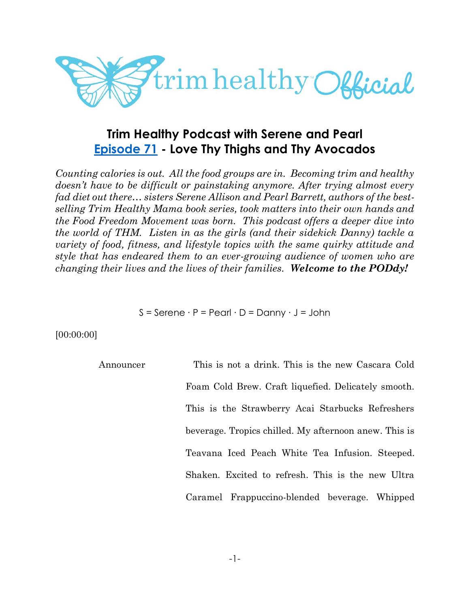

# **Trim Healthy Podcast with Serene and Pearl [Episode 71](https://cms.megaphone.fm/channel/trimhealthypodcast?selected=ADL6617601137) - Love Thy Thighs and Thy Avocados**

*Counting calories is out. All the food groups are in. Becoming trim and healthy doesn't have to be difficult or painstaking anymore. After trying almost every fad diet out there… sisters Serene Allison and Pearl Barrett, authors of the bestselling Trim Healthy Mama book series, took matters into their own hands and the Food Freedom Movement was born. This podcast offers a deeper dive into the world of THM. Listen in as the girls (and their sidekick Danny) tackle a variety of food, fitness, and lifestyle topics with the same quirky attitude and style that has endeared them to an ever-growing audience of women who are changing their lives and the lives of their families. Welcome to the PODdy!*

S = Serene ∙ P = Pearl ∙ D = Danny ∙ J = John

[00:00:00]

| Announcer | This is not a drink. This is the new Cascara Cold     |
|-----------|-------------------------------------------------------|
|           | Foam Cold Brew. Craft liquefied. Delicately smooth.   |
|           | This is the Strawberry Acai Starbucks Refreshers      |
|           | beverage. Tropics chilled. My afternoon anew. This is |
|           | Teavana Iced Peach White Tea Infusion. Steeped.       |
|           | Shaken. Excited to refresh. This is the new Ultra     |
|           | Caramel Frappuccino-blended beverage. Whipped         |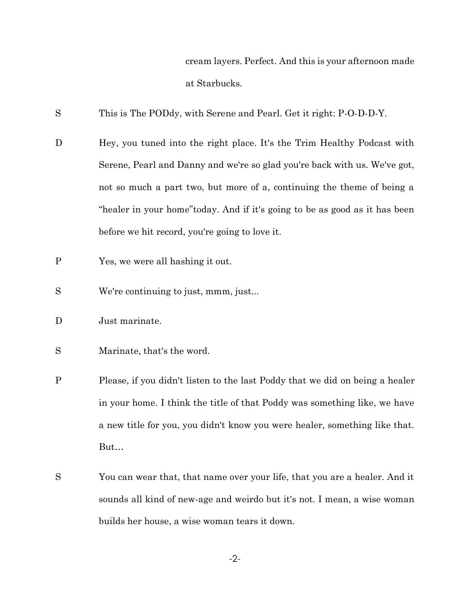cream layers. Perfect. And this is your afternoon made at Starbucks.

- S This is The PODdy, with Serene and Pearl. Get it right: P-O-D-D-Y.
- D Hey, you tuned into the right place. It's the Trim Healthy Podcast with Serene, Pearl and Danny and we're so glad you're back with us. We've got, not so much a part two, but more of a, continuing the theme of being a "healer in your home"today. And if it's going to be as good as it has been before we hit record, you're going to love it.
- P Yes, we were all hashing it out.
- S We're continuing to just, mmm, just...
- D Just marinate.
- S Marinate, that's the word.
- P Please, if you didn't listen to the last Poddy that we did on being a healer in your home. I think the title of that Poddy was something like, we have a new title for you, you didn't know you were healer, something like that. But…
- S You can wear that, that name over your life, that you are a healer. And it sounds all kind of new-age and weirdo but it's not. I mean, a wise woman builds her house, a wise woman tears it down.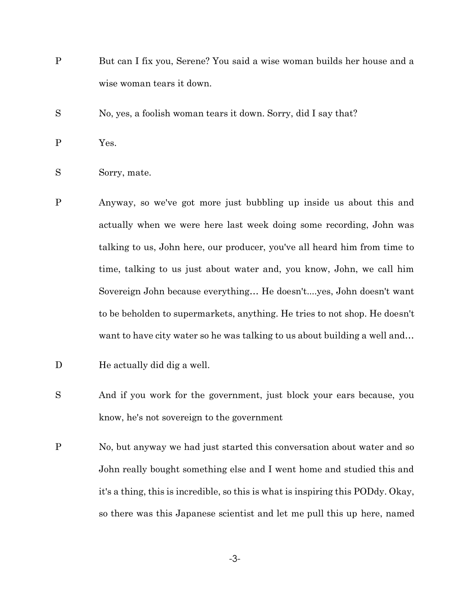- P But can I fix you, Serene? You said a wise woman builds her house and a wise woman tears it down.
- S No, yes, a foolish woman tears it down. Sorry, did I say that?

P Yes.

- S Sorry, mate.
- P Anyway, so we've got more just bubbling up inside us about this and actually when we were here last week doing some recording, John was talking to us, John here, our producer, you've all heard him from time to time, talking to us just about water and, you know, John, we call him Sovereign John because everything… He doesn't....yes, John doesn't want to be beholden to supermarkets, anything. He tries to not shop. He doesn't want to have city water so he was talking to us about building a well and…
- D He actually did dig a well.
- S And if you work for the government, just block your ears because, you know, he's not sovereign to the government
- P No, but anyway we had just started this conversation about water and so John really bought something else and I went home and studied this and it's a thing, this is incredible, so this is what is inspiring this PODdy. Okay, so there was this Japanese scientist and let me pull this up here, named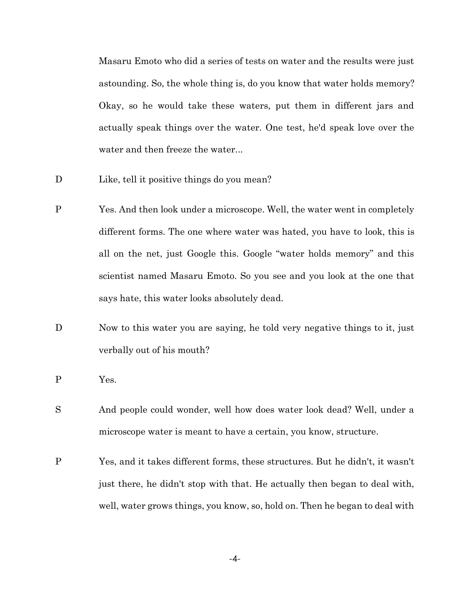Masaru Emoto who did a series of tests on water and the results were just astounding. So, the whole thing is, do you know that water holds memory? Okay, so he would take these waters, put them in different jars and actually speak things over the water. One test, he'd speak love over the water and then freeze the water...

- D Like, tell it positive things do you mean?
- P Yes. And then look under a microscope. Well, the water went in completely different forms. The one where water was hated, you have to look, this is all on the net, just Google this. Google "water holds memory" and this scientist named Masaru Emoto. So you see and you look at the one that says hate, this water looks absolutely dead.
- D Now to this water you are saying, he told very negative things to it, just verbally out of his mouth?
- P Yes.
- S And people could wonder, well how does water look dead? Well, under a microscope water is meant to have a certain, you know, structure.
- P Yes, and it takes different forms, these structures. But he didn't, it wasn't just there, he didn't stop with that. He actually then began to deal with, well, water grows things, you know, so, hold on. Then he began to deal with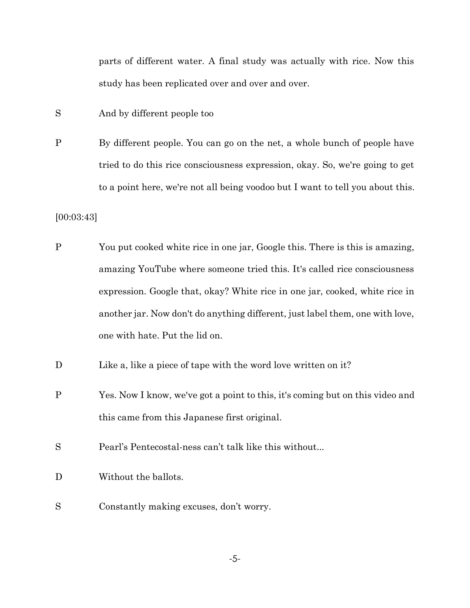parts of different water. A final study was actually with rice. Now this study has been replicated over and over and over.

- S And by different people too
- P By different people. You can go on the net, a whole bunch of people have tried to do this rice consciousness expression, okay. So, we're going to get to a point here, we're not all being voodoo but I want to tell you about this.

[00:03:43]

- P You put cooked white rice in one jar, Google this. There is this is amazing, amazing YouTube where someone tried this. It's called rice consciousness expression. Google that, okay? White rice in one jar, cooked, white rice in another jar. Now don't do anything different, just label them, one with love, one with hate. Put the lid on.
- D Like a, like a piece of tape with the word love written on it?
- P Yes. Now I know, we've got a point to this, it's coming but on this video and this came from this Japanese first original.
- S Pearl's Pentecostal-ness can't talk like this without...
- D Without the ballots.
- S Constantly making excuses, don't worry.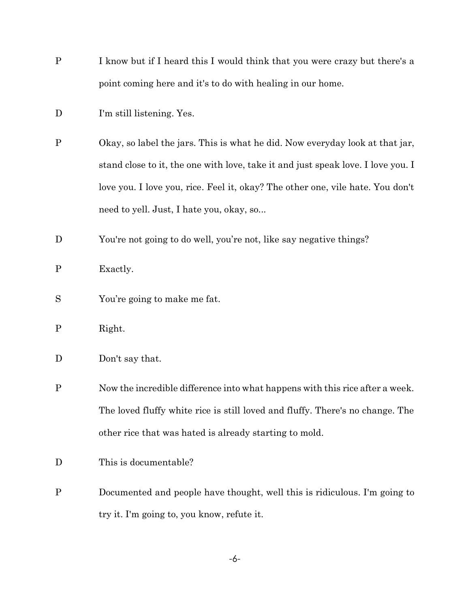- P I know but if I heard this I would think that you were crazy but there's a point coming here and it's to do with healing in our home.
- D I'm still listening. Yes.
- P Okay, so label the jars. This is what he did. Now everyday look at that jar, stand close to it, the one with love, take it and just speak love. I love you. I love you. I love you, rice. Feel it, okay? The other one, vile hate. You don't need to yell. Just, I hate you, okay, so...
- D You're not going to do well, you're not, like say negative things?

P Exactly.

- S You're going to make me fat.
- P Right.
- D Don't say that.
- P Now the incredible difference into what happens with this rice after a week. The loved fluffy white rice is still loved and fluffy. There's no change. The other rice that was hated is already starting to mold.
- D This is documentable?
- P Documented and people have thought, well this is ridiculous. I'm going to try it. I'm going to, you know, refute it.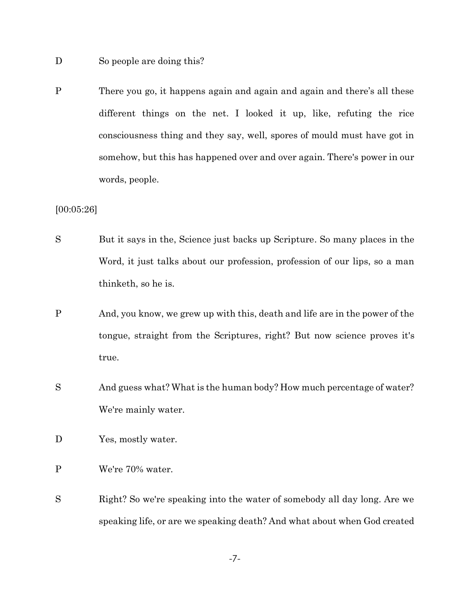D So people are doing this?

P There you go, it happens again and again and again and there's all these different things on the net. I looked it up, like, refuting the rice consciousness thing and they say, well, spores of mould must have got in somehow, but this has happened over and over again. There's power in our words, people.

[00:05:26]

- S But it says in the, Science just backs up Scripture. So many places in the Word, it just talks about our profession, profession of our lips, so a man thinketh, so he is.
- P And, you know, we grew up with this, death and life are in the power of the tongue, straight from the Scriptures, right? But now science proves it's true.
- S And guess what? What is the human body? How much percentage of water? We're mainly water.
- D Yes, mostly water.
- P We're 70% water.
- S Right? So we're speaking into the water of somebody all day long. Are we speaking life, or are we speaking death? And what about when God created

-7-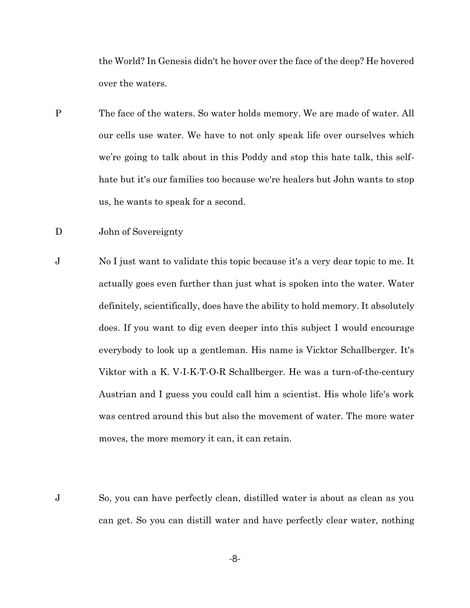the World? In Genesis didn't he hover over the face of the deep? He hovered over the waters.

- P The face of the waters. So water holds memory. We are made of water. All our cells use water. We have to not only speak life over ourselves which we're going to talk about in this Poddy and stop this hate talk, this selfhate but it's our families too because we're healers but John wants to stop us, he wants to speak for a second.
- D John of Sovereignty
- J No I just want to validate this topic because it's a very dear topic to me. It actually goes even further than just what is spoken into the water. Water definitely, scientifically, does have the ability to hold memory. It absolutely does. If you want to dig even deeper into this subject I would encourage everybody to look up a gentleman. His name is Vicktor Schallberger. It's Viktor with a K. V-I-K-T-O-R Schallberger. He was a turn-of-the-century Austrian and I guess you could call him a scientist. His whole life's work was centred around this but also the movement of water. The more water moves, the more memory it can, it can retain.
- 

J So, you can have perfectly clean, distilled water is about as clean as you can get. So you can distill water and have perfectly clear water, nothing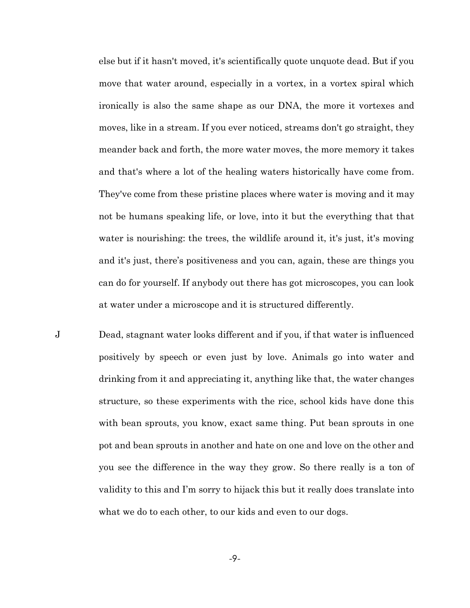else but if it hasn't moved, it's scientifically quote unquote dead. But if you move that water around, especially in a vortex, in a vortex spiral which ironically is also the same shape as our DNA, the more it vortexes and moves, like in a stream. If you ever noticed, streams don't go straight, they meander back and forth, the more water moves, the more memory it takes and that's where a lot of the healing waters historically have come from. They've come from these pristine places where water is moving and it may not be humans speaking life, or love, into it but the everything that that water is nourishing: the trees, the wildlife around it, it's just, it's moving and it's just, there's positiveness and you can, again, these are things you can do for yourself. If anybody out there has got microscopes, you can look at water under a microscope and it is structured differently.

J Dead, stagnant water looks different and if you, if that water is influenced positively by speech or even just by love. Animals go into water and drinking from it and appreciating it, anything like that, the water changes structure, so these experiments with the rice, school kids have done this with bean sprouts, you know, exact same thing. Put bean sprouts in one pot and bean sprouts in another and hate on one and love on the other and you see the difference in the way they grow. So there really is a ton of validity to this and I'm sorry to hijack this but it really does translate into what we do to each other, to our kids and even to our dogs.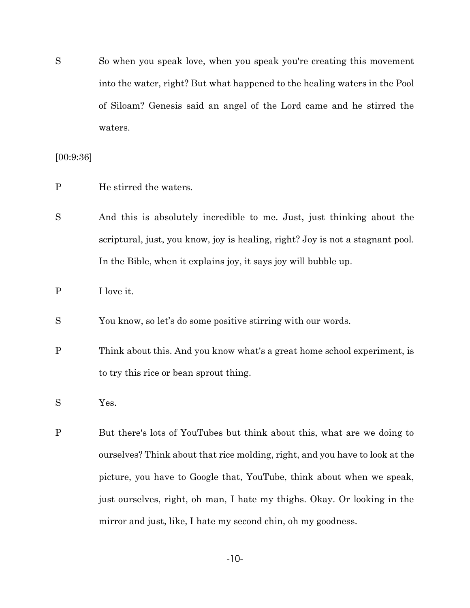S So when you speak love, when you speak you're creating this movement into the water, right? But what happened to the healing waters in the Pool of Siloam? Genesis said an angel of the Lord came and he stirred the waters.

[00:9:36]

- P He stirred the waters.
- S And this is absolutely incredible to me. Just, just thinking about the scriptural, just, you know, joy is healing, right? Joy is not a stagnant pool. In the Bible, when it explains joy, it says joy will bubble up.

P I love it.

S You know, so let's do some positive stirring with our words.

P Think about this. And you know what's a great home school experiment, is to try this rice or bean sprout thing.

S Yes.

P But there's lots of YouTubes but think about this, what are we doing to ourselves? Think about that rice molding, right, and you have to look at the picture, you have to Google that, YouTube, think about when we speak, just ourselves, right, oh man, I hate my thighs. Okay. Or looking in the mirror and just, like, I hate my second chin, oh my goodness.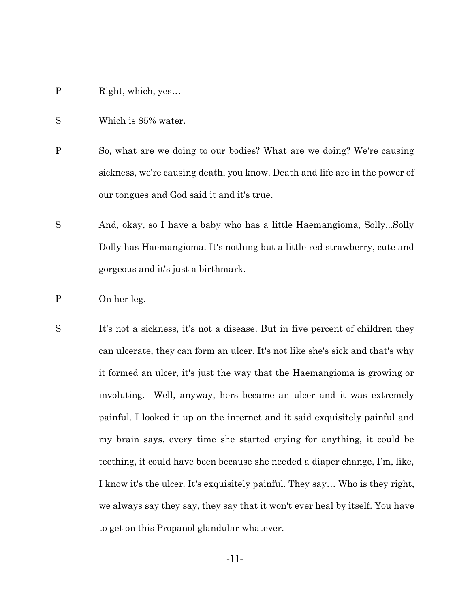- P Right, which, yes…
- S Which is 85% water.
- P So, what are we doing to our bodies? What are we doing? We're causing sickness, we're causing death, you know. Death and life are in the power of our tongues and God said it and it's true.
- S And, okay, so I have a baby who has a little Haemangioma, Solly...Solly Dolly has Haemangioma. It's nothing but a little red strawberry, cute and gorgeous and it's just a birthmark.
- P On her leg.
- S It's not a sickness, it's not a disease. But in five percent of children they can ulcerate, they can form an ulcer. It's not like she's sick and that's why it formed an ulcer, it's just the way that the Haemangioma is growing or involuting. Well, anyway, hers became an ulcer and it was extremely painful. I looked it up on the internet and it said exquisitely painful and my brain says, every time she started crying for anything, it could be teething, it could have been because she needed a diaper change, I'm, like, I know it's the ulcer. It's exquisitely painful. They say… Who is they right, we always say they say, they say that it won't ever heal by itself. You have to get on this Propanol glandular whatever.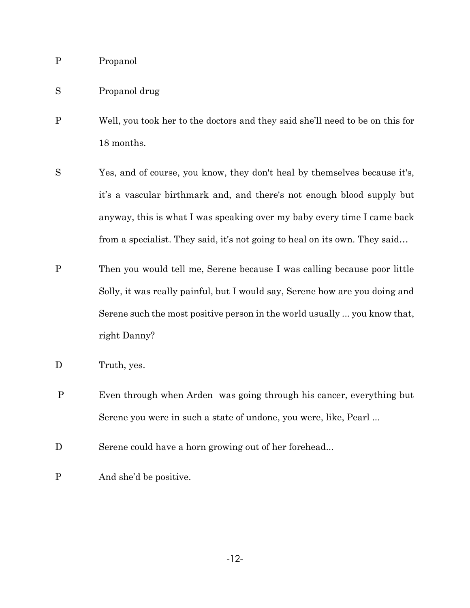## P Propanol

# S Propanol drug

- P Well, you took her to the doctors and they said she'll need to be on this for 18 months.
- S Yes, and of course, you know, they don't heal by themselves because it's, it's a vascular birthmark and, and there's not enough blood supply but anyway, this is what I was speaking over my baby every time I came back from a specialist. They said, it's not going to heal on its own. They said…
- P Then you would tell me, Serene because I was calling because poor little Solly, it was really painful, but I would say, Serene how are you doing and Serene such the most positive person in the world usually ... you know that, right Danny?
- D Truth, yes.
- P Even through when Arden was going through his cancer, everything but Serene you were in such a state of undone, you were, like, Pearl ...
- D Serene could have a horn growing out of her forehead...
- P And she'd be positive.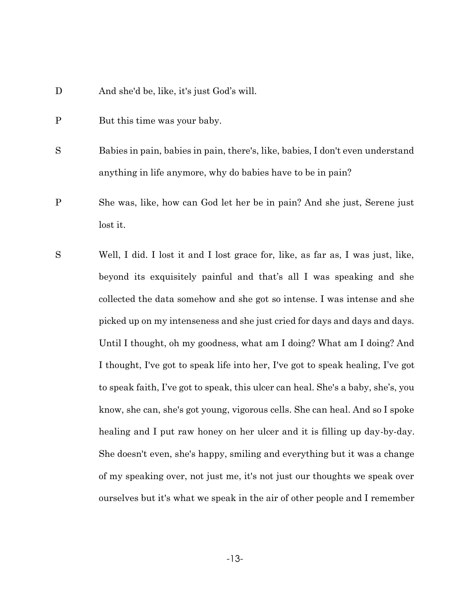- D And she'd be, like, it's just God's will.
- P But this time was your baby.
- S Babies in pain, babies in pain, there's, like, babies, I don't even understand anything in life anymore, why do babies have to be in pain?
- P She was, like, how can God let her be in pain? And she just, Serene just lost it.
- S Well, I did. I lost it and I lost grace for, like, as far as, I was just, like, beyond its exquisitely painful and that's all I was speaking and she collected the data somehow and she got so intense. I was intense and she picked up on my intenseness and she just cried for days and days and days. Until I thought, oh my goodness, what am I doing? What am I doing? And I thought, I've got to speak life into her, I've got to speak healing, I've got to speak faith, I've got to speak, this ulcer can heal. She's a baby, she's, you know, she can, she's got young, vigorous cells. She can heal. And so I spoke healing and I put raw honey on her ulcer and it is filling up day-by-day. She doesn't even, she's happy, smiling and everything but it was a change of my speaking over, not just me, it's not just our thoughts we speak over ourselves but it's what we speak in the air of other people and I remember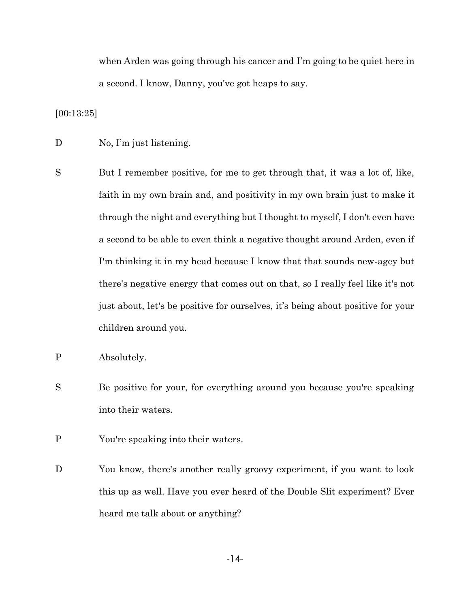when Arden was going through his cancer and I'm going to be quiet here in a second. I know, Danny, you've got heaps to say.

[00:13:25]

- D No, I'm just listening.
- S But I remember positive, for me to get through that, it was a lot of, like, faith in my own brain and, and positivity in my own brain just to make it through the night and everything but I thought to myself, I don't even have a second to be able to even think a negative thought around Arden, even if I'm thinking it in my head because I know that that sounds new-agey but there's negative energy that comes out on that, so I really feel like it's not just about, let's be positive for ourselves, it's being about positive for your children around you.
- P Absolutely.
- S Be positive for your, for everything around you because you're speaking into their waters.
- P You're speaking into their waters.
- D You know, there's another really groovy experiment, if you want to look this up as well. Have you ever heard of the Double Slit experiment? Ever heard me talk about or anything?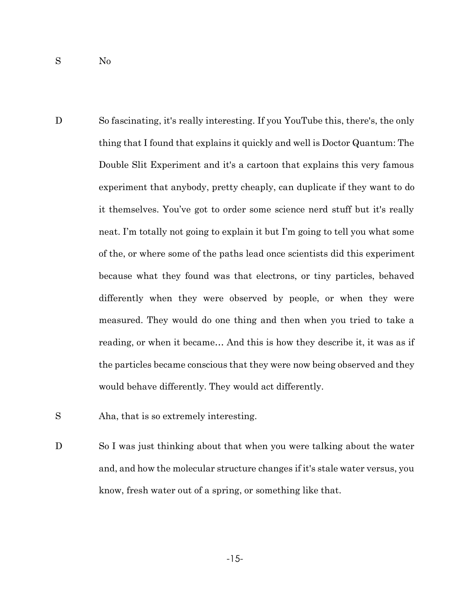- S No
- D So fascinating, it's really interesting. If you YouTube this, there's, the only thing that I found that explains it quickly and well is Doctor Quantum: The Double Slit Experiment and it's a cartoon that explains this very famous experiment that anybody, pretty cheaply, can duplicate if they want to do it themselves. You've got to order some science nerd stuff but it's really neat. I'm totally not going to explain it but I'm going to tell you what some of the, or where some of the paths lead once scientists did this experiment because what they found was that electrons, or tiny particles, behaved differently when they were observed by people, or when they were measured. They would do one thing and then when you tried to take a reading, or when it became… And this is how they describe it, it was as if the particles became conscious that they were now being observed and they would behave differently. They would act differently.
- S Aha, that is so extremely interesting.
- D So I was just thinking about that when you were talking about the water and, and how the molecular structure changes if it's stale water versus, you know, fresh water out of a spring, or something like that.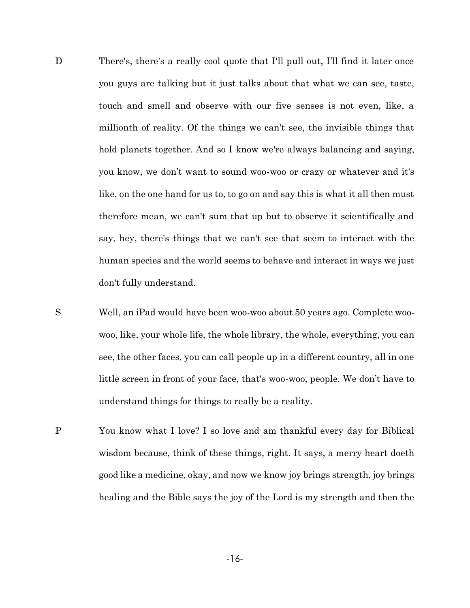- D There's, there's a really cool quote that I'll pull out, I'll find it later once you guys are talking but it just talks about that what we can see, taste, touch and smell and observe with our five senses is not even, like, a millionth of reality. Of the things we can't see, the invisible things that hold planets together. And so I know we're always balancing and saying, you know, we don't want to sound woo-woo or crazy or whatever and it's like, on the one hand for us to, to go on and say this is what it all then must therefore mean, we can't sum that up but to observe it scientifically and say, hey, there's things that we can't see that seem to interact with the human species and the world seems to behave and interact in ways we just don't fully understand.
- S Well, an iPad would have been woo-woo about 50 years ago. Complete woowoo, like, your whole life, the whole library, the whole, everything, you can see, the other faces, you can call people up in a different country, all in one little screen in front of your face, that's woo-woo, people. We don't have to understand things for things to really be a reality.
- P You know what I love? I so love and am thankful every day for Biblical wisdom because, think of these things, right. It says, a merry heart doeth good like a medicine, okay, and now we know joy brings strength, joy brings healing and the Bible says the joy of the Lord is my strength and then the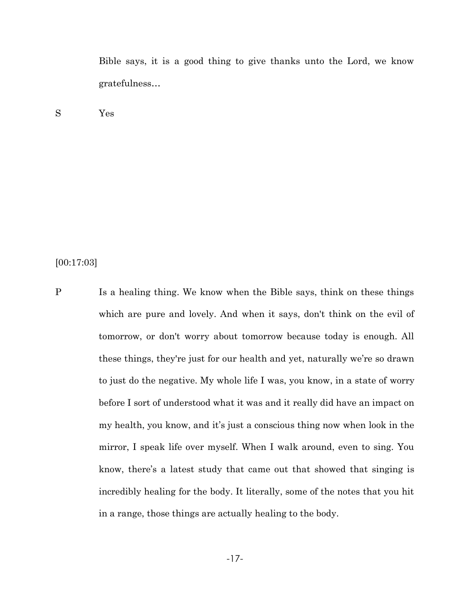Bible says, it is a good thing to give thanks unto the Lord, we know gratefulness…

S Yes

### [00:17:03]

P Is a healing thing. We know when the Bible says, think on these things which are pure and lovely. And when it says, don't think on the evil of tomorrow, or don't worry about tomorrow because today is enough. All these things, they're just for our health and yet, naturally we're so drawn to just do the negative. My whole life I was, you know, in a state of worry before I sort of understood what it was and it really did have an impact on my health, you know, and it's just a conscious thing now when look in the mirror, I speak life over myself. When I walk around, even to sing. You know, there's a latest study that came out that showed that singing is incredibly healing for the body. It literally, some of the notes that you hit in a range, those things are actually healing to the body.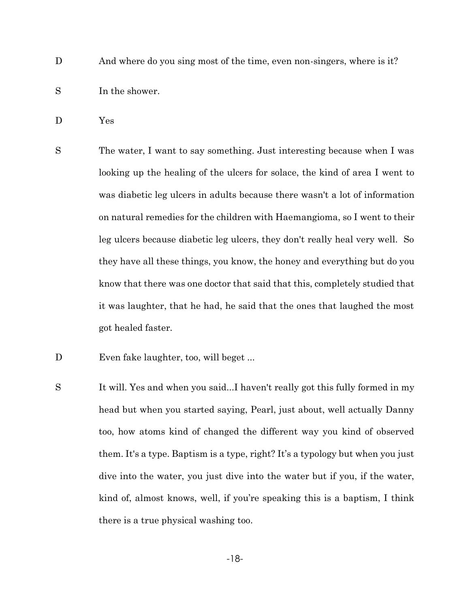- D And where do you sing most of the time, even non-singers, where is it?
- S In the shower.
- D Yes
- S The water, I want to say something. Just interesting because when I was looking up the healing of the ulcers for solace, the kind of area I went to was diabetic leg ulcers in adults because there wasn't a lot of information on natural remedies for the children with Haemangioma, so I went to their leg ulcers because diabetic leg ulcers, they don't really heal very well. So they have all these things, you know, the honey and everything but do you know that there was one doctor that said that this, completely studied that it was laughter, that he had, he said that the ones that laughed the most got healed faster.
- D Even fake laughter, too, will beget ...
- S It will. Yes and when you said...I haven't really got this fully formed in my head but when you started saying, Pearl, just about, well actually Danny too, how atoms kind of changed the different way you kind of observed them. It's a type. Baptism is a type, right? It's a typology but when you just dive into the water, you just dive into the water but if you, if the water, kind of, almost knows, well, if you're speaking this is a baptism, I think there is a true physical washing too.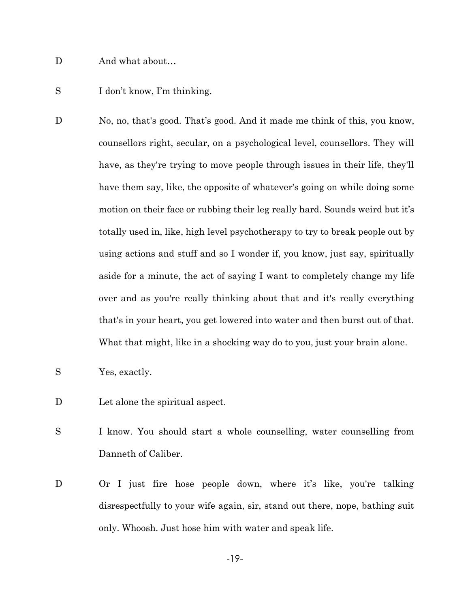D And what about...

# S I don't know, I'm thinking.

- D No, no, that's good. That's good. And it made me think of this, you know, counsellors right, secular, on a psychological level, counsellors. They will have, as they're trying to move people through issues in their life, they'll have them say, like, the opposite of whatever's going on while doing some motion on their face or rubbing their leg really hard. Sounds weird but it's totally used in, like, high level psychotherapy to try to break people out by using actions and stuff and so I wonder if, you know, just say, spiritually aside for a minute, the act of saying I want to completely change my life over and as you're really thinking about that and it's really everything that's in your heart, you get lowered into water and then burst out of that. What that might, like in a shocking way do to you, just your brain alone.
- S Yes, exactly.
- D Let alone the spiritual aspect.
- S I know. You should start a whole counselling, water counselling from Danneth of Caliber.
- D Or I just fire hose people down, where it's like, you're talking disrespectfully to your wife again, sir, stand out there, nope, bathing suit only. Whoosh. Just hose him with water and speak life.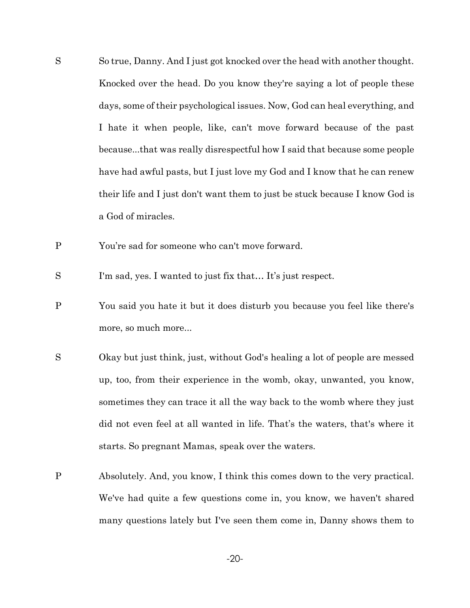- S So true, Danny. And I just got knocked over the head with another thought. Knocked over the head. Do you know they're saying a lot of people these days, some of their psychological issues. Now, God can heal everything, and I hate it when people, like, can't move forward because of the past because...that was really disrespectful how I said that because some people have had awful pasts, but I just love my God and I know that he can renew their life and I just don't want them to just be stuck because I know God is a God of miracles.
- P You're sad for someone who can't move forward.
- S I'm sad, yes. I wanted to just fix that… It's just respect.
- P You said you hate it but it does disturb you because you feel like there's more, so much more...
- S Okay but just think, just, without God's healing a lot of people are messed up, too, from their experience in the womb, okay, unwanted, you know, sometimes they can trace it all the way back to the womb where they just did not even feel at all wanted in life. That's the waters, that's where it starts. So pregnant Mamas, speak over the waters.
- P Absolutely. And, you know, I think this comes down to the very practical. We've had quite a few questions come in, you know, we haven't shared many questions lately but I've seen them come in, Danny shows them to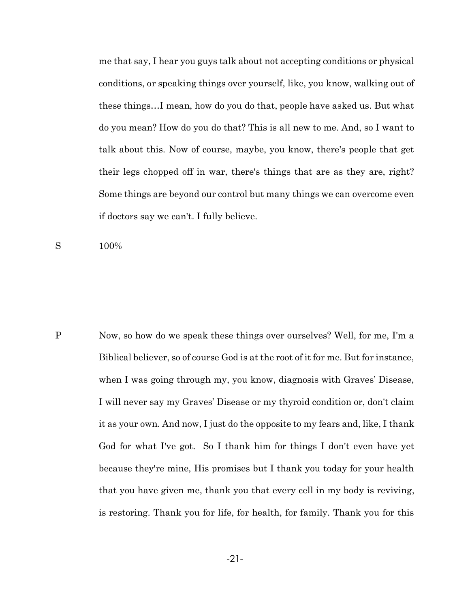me that say, I hear you guys talk about not accepting conditions or physical conditions, or speaking things over yourself, like, you know, walking out of these things…I mean, how do you do that, people have asked us. But what do you mean? How do you do that? This is all new to me. And, so I want to talk about this. Now of course, maybe, you know, there's people that get their legs chopped off in war, there's things that are as they are, right? Some things are beyond our control but many things we can overcome even if doctors say we can't. I fully believe.

S 100%

P Now, so how do we speak these things over ourselves? Well, for me, I'm a Biblical believer, so of course God is at the root of it for me. But for instance, when I was going through my, you know, diagnosis with Graves' Disease, I will never say my Graves' Disease or my thyroid condition or, don't claim it as your own. And now, I just do the opposite to my fears and, like, I thank God for what I've got. So I thank him for things I don't even have yet because they're mine, His promises but I thank you today for your health that you have given me, thank you that every cell in my body is reviving, is restoring. Thank you for life, for health, for family. Thank you for this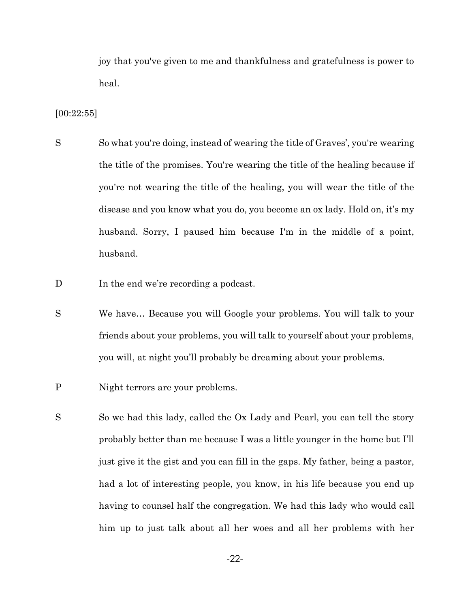joy that you've given to me and thankfulness and gratefulness is power to heal.

[00:22:55]

- S So what you're doing, instead of wearing the title of Graves', you're wearing the title of the promises. You're wearing the title of the healing because if you're not wearing the title of the healing, you will wear the title of the disease and you know what you do, you become an ox lady. Hold on, it's my husband. Sorry, I paused him because I'm in the middle of a point, husband.
- D In the end we're recording a podcast.
- S We have… Because you will Google your problems. You will talk to your friends about your problems, you will talk to yourself about your problems, you will, at night you'll probably be dreaming about your problems.
- P Night terrors are your problems.
- S So we had this lady, called the Ox Lady and Pearl, you can tell the story probably better than me because I was a little younger in the home but I'll just give it the gist and you can fill in the gaps. My father, being a pastor, had a lot of interesting people, you know, in his life because you end up having to counsel half the congregation. We had this lady who would call him up to just talk about all her woes and all her problems with her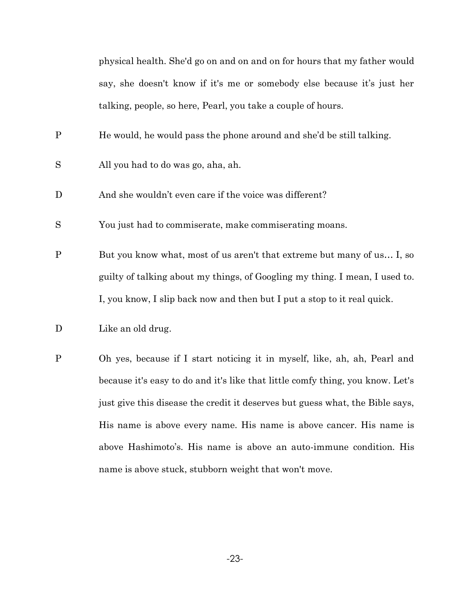physical health. She'd go on and on and on for hours that my father would say, she doesn't know if it's me or somebody else because it's just her talking, people, so here, Pearl, you take a couple of hours.

- P He would, he would pass the phone around and she'd be still talking.
- S All you had to do was go, aha, ah.
- D And she wouldn't even care if the voice was different?
- S You just had to commiserate, make commiserating moans.
- P But you know what, most of us aren't that extreme but many of us… I, so guilty of talking about my things, of Googling my thing. I mean, I used to. I, you know, I slip back now and then but I put a stop to it real quick.
- D Like an old drug.
- P Oh yes, because if I start noticing it in myself, like, ah, ah, Pearl and because it's easy to do and it's like that little comfy thing, you know. Let's just give this disease the credit it deserves but guess what, the Bible says, His name is above every name. His name is above cancer. His name is above Hashimoto's. His name is above an auto-immune condition. His name is above stuck, stubborn weight that won't move.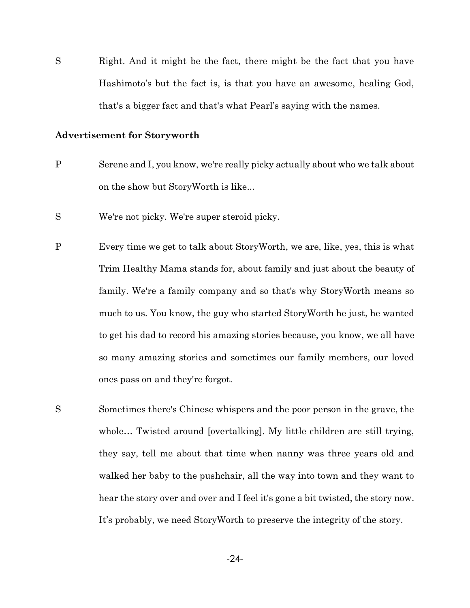S Right. And it might be the fact, there might be the fact that you have Hashimoto's but the fact is, is that you have an awesome, healing God, that's a bigger fact and that's what Pearl's saying with the names.

#### **Advertisement for Storyworth**

- P Serene and I, you know, we're really picky actually about who we talk about on the show but StoryWorth is like...
- S We're not picky. We're super steroid picky.
- P Every time we get to talk about StoryWorth, we are, like, yes, this is what Trim Healthy Mama stands for, about family and just about the beauty of family. We're a family company and so that's why StoryWorth means so much to us. You know, the guy who started StoryWorth he just, he wanted to get his dad to record his amazing stories because, you know, we all have so many amazing stories and sometimes our family members, our loved ones pass on and they're forgot.
- S Sometimes there's Chinese whispers and the poor person in the grave, the whole… Twisted around [overtalking]. My little children are still trying, they say, tell me about that time when nanny was three years old and walked her baby to the pushchair, all the way into town and they want to hear the story over and over and I feel it's gone a bit twisted, the story now. It's probably, we need StoryWorth to preserve the integrity of the story.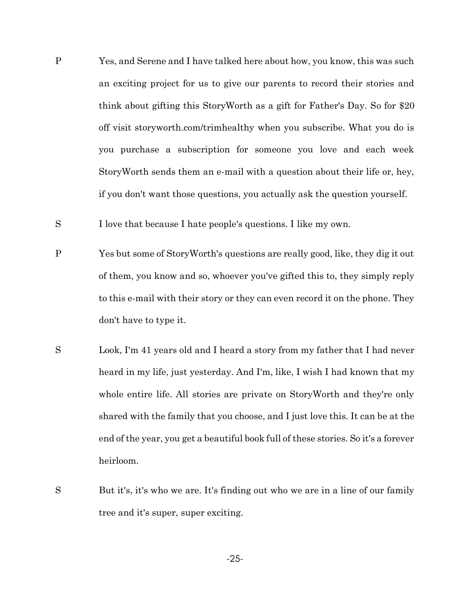- P Yes, and Serene and I have talked here about how, you know, this was such an exciting project for us to give our parents to record their stories and think about gifting this StoryWorth as a gift for Father's Day. So for \$20 off visit storyworth.com/trimhealthy when you subscribe. What you do is you purchase a subscription for someone you love and each week StoryWorth sends them an e-mail with a question about their life or, hey, if you don't want those questions, you actually ask the question yourself.
- S I love that because I hate people's questions. I like my own.
- P Yes but some of StoryWorth's questions are really good, like, they dig it out of them, you know and so, whoever you've gifted this to, they simply reply to this e-mail with their story or they can even record it on the phone. They don't have to type it.
- S Look, I'm 41 years old and I heard a story from my father that I had never heard in my life, just yesterday. And I'm, like, I wish I had known that my whole entire life. All stories are private on StoryWorth and they're only shared with the family that you choose, and I just love this. It can be at the end of the year, you get a beautiful book full of these stories. So it's a forever heirloom.
- S But it's, it's who we are. It's finding out who we are in a line of our family tree and it's super, super exciting.

-25-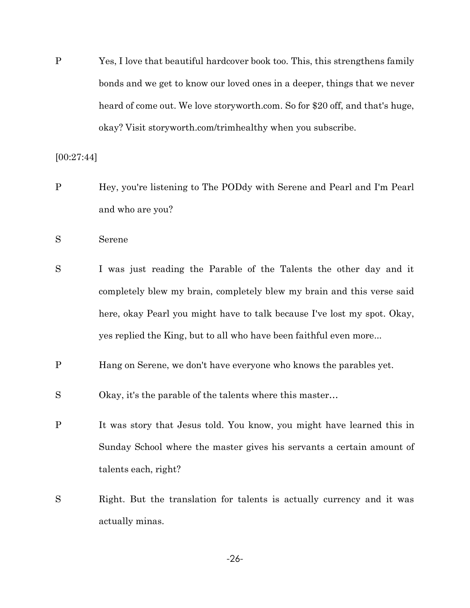P Yes, I love that beautiful hardcover book too. This, this strengthens family bonds and we get to know our loved ones in a deeper, things that we never heard of come out. We love storyworth.com. So for \$20 off, and that's huge, okay? Visit storyworth.com/trimhealthy when you subscribe.

[00:27:44]

P Hey, you're listening to The PODdy with Serene and Pearl and I'm Pearl and who are you?

S Serene

- S I was just reading the Parable of the Talents the other day and it completely blew my brain, completely blew my brain and this verse said here, okay Pearl you might have to talk because I've lost my spot. Okay, yes replied the King, but to all who have been faithful even more...
- P Hang on Serene, we don't have everyone who knows the parables yet.
- S Okay, it's the parable of the talents where this master…
- P It was story that Jesus told. You know, you might have learned this in Sunday School where the master gives his servants a certain amount of talents each, right?
- S Right. But the translation for talents is actually currency and it was actually minas.

-26-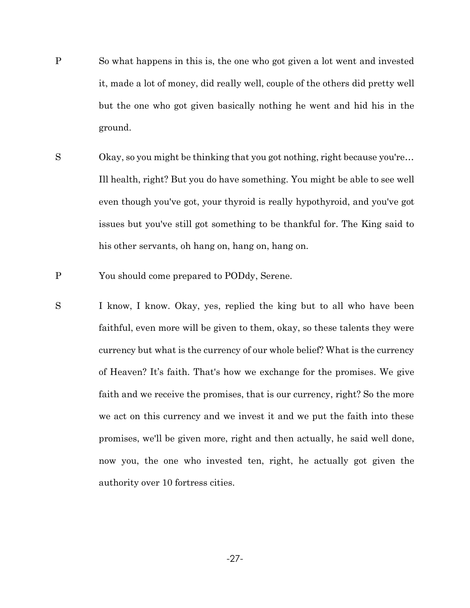P So what happens in this is, the one who got given a lot went and invested it, made a lot of money, did really well, couple of the others did pretty well but the one who got given basically nothing he went and hid his in the ground.

S Okay, so you might be thinking that you got nothing, right because you're… Ill health, right? But you do have something. You might be able to see well even though you've got, your thyroid is really hypothyroid, and you've got issues but you've still got something to be thankful for. The King said to his other servants, oh hang on, hang on, hang on.

- P You should come prepared to PODdy, Serene.
- S I know, I know. Okay, yes, replied the king but to all who have been faithful, even more will be given to them, okay, so these talents they were currency but what is the currency of our whole belief? What is the currency of Heaven? It's faith. That's how we exchange for the promises. We give faith and we receive the promises, that is our currency, right? So the more we act on this currency and we invest it and we put the faith into these promises, we'll be given more, right and then actually, he said well done, now you, the one who invested ten, right, he actually got given the authority over 10 fortress cities.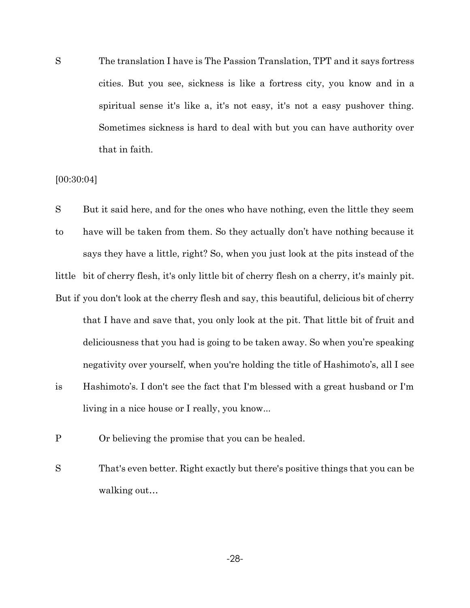S The translation I have is The Passion Translation, TPT and it says fortress cities. But you see, sickness is like a fortress city, you know and in a spiritual sense it's like a, it's not easy, it's not a easy pushover thing. Sometimes sickness is hard to deal with but you can have authority over that in faith.

#### [00:30:04]

S But it said here, and for the ones who have nothing, even the little they seem to have will be taken from them. So they actually don't have nothing because it says they have a little, right? So, when you just look at the pits instead of the little bit of cherry flesh, it's only little bit of cherry flesh on a cherry, it's mainly pit. But if you don't look at the cherry flesh and say, this beautiful, delicious bit of cherry that I have and save that, you only look at the pit. That little bit of fruit and deliciousness that you had is going to be taken away. So when you're speaking negativity over yourself, when you're holding the title of Hashimoto's, all I see is Hashimoto's. I don't see the fact that I'm blessed with a great husband or I'm

P Or believing the promise that you can be healed.

living in a nice house or I really, you know...

S That's even better. Right exactly but there's positive things that you can be walking out…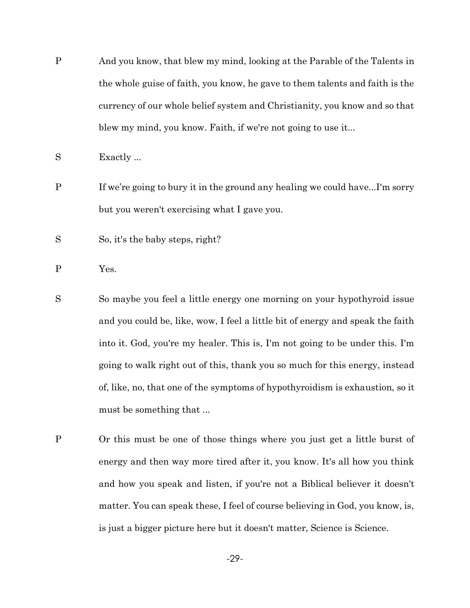P And you know, that blew my mind, looking at the Parable of the Talents in the whole guise of faith, you know, he gave to them talents and faith is the currency of our whole belief system and Christianity, you know and so that blew my mind, you know. Faith, if we're not going to use it...

P If we're going to bury it in the ground any healing we could have...I'm sorry but you weren't exercising what I gave you.

So, it's the baby steps, right?

P Yes.

- S So maybe you feel a little energy one morning on your hypothyroid issue and you could be, like, wow, I feel a little bit of energy and speak the faith into it. God, you're my healer. This is, I'm not going to be under this. I'm going to walk right out of this, thank you so much for this energy, instead of, like, no, that one of the symptoms of hypothyroidism is exhaustion, so it must be something that ...
- P Or this must be one of those things where you just get a little burst of energy and then way more tired after it, you know. It's all how you think and how you speak and listen, if you're not a Biblical believer it doesn't matter. You can speak these, I feel of course believing in God, you know, is, is just a bigger picture here but it doesn't matter, Science is Science.

-29-

S Exactly ...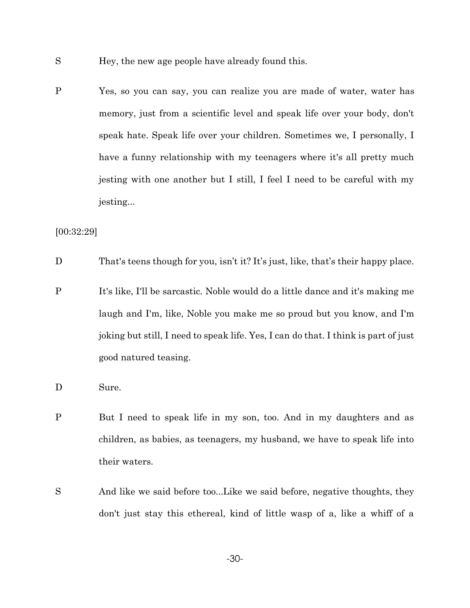S Hey, the new age people have already found this.

P Yes, so you can say, you can realize you are made of water, water has memory, just from a scientific level and speak life over your body, don't speak hate. Speak life over your children. Sometimes we, I personally, I have a funny relationship with my teenagers where it's all pretty much jesting with one another but I still, I feel I need to be careful with my jesting...

[00:32:29]

- D That's teens though for you, isn't it? It's just, like, that's their happy place.
- P It's like, I'll be sarcastic. Noble would do a little dance and it's making me laugh and I'm, like, Noble you make me so proud but you know, and I'm joking but still, I need to speak life. Yes, I can do that. I think is part of just good natured teasing.
- D Sure.
- P But I need to speak life in my son, too. And in my daughters and as children, as babies, as teenagers, my husband, we have to speak life into their waters.
- S And like we said before too...Like we said before, negative thoughts, they don't just stay this ethereal, kind of little wasp of a, like a whiff of a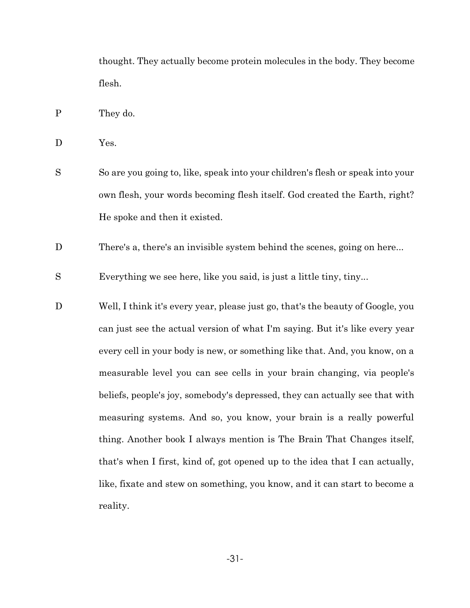thought. They actually become protein molecules in the body. They become flesh.

P They do.

D Yes.

S So are you going to, like, speak into your children's flesh or speak into your own flesh, your words becoming flesh itself. God created the Earth, right? He spoke and then it existed.

D There's a, there's an invisible system behind the scenes, going on here...

S Everything we see here, like you said, is just a little tiny, tiny...

D Well, I think it's every year, please just go, that's the beauty of Google, you can just see the actual version of what I'm saying. But it's like every year every cell in your body is new, or something like that. And, you know, on a measurable level you can see cells in your brain changing, via people's beliefs, people's joy, somebody's depressed, they can actually see that with measuring systems. And so, you know, your brain is a really powerful thing. Another book I always mention is The Brain That Changes itself, that's when I first, kind of, got opened up to the idea that I can actually, like, fixate and stew on something, you know, and it can start to become a reality.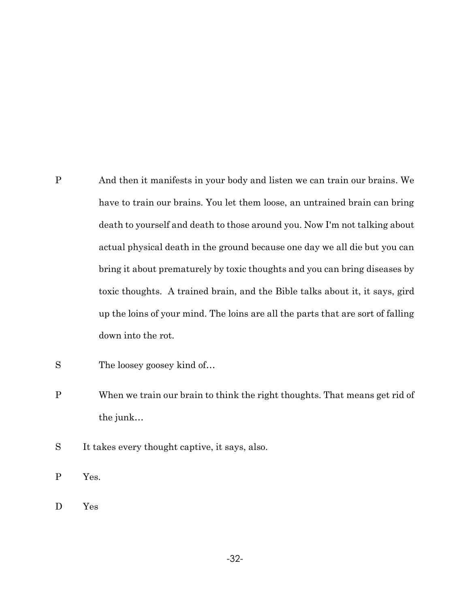- P And then it manifests in your body and listen we can train our brains. We have to train our brains. You let them loose, an untrained brain can bring death to yourself and death to those around you. Now I'm not talking about actual physical death in the ground because one day we all die but you can bring it about prematurely by toxic thoughts and you can bring diseases by toxic thoughts. A trained brain, and the Bible talks about it, it says, gird up the loins of your mind. The loins are all the parts that are sort of falling down into the rot.
- S The loosey goosey kind of...
- P When we train our brain to think the right thoughts. That means get rid of the junk…
- S It takes every thought captive, it says, also.
- P Yes.
- D Yes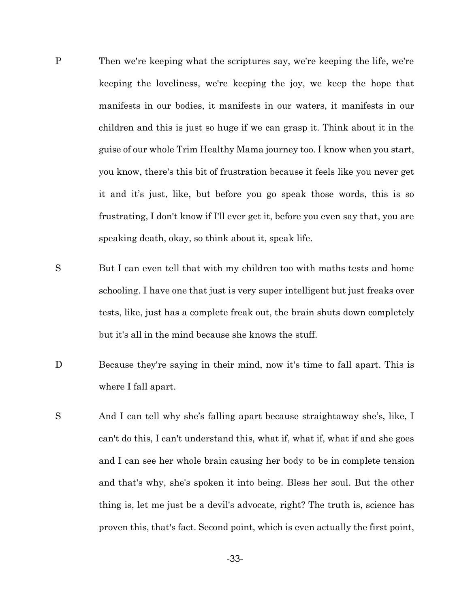- P Then we're keeping what the scriptures say, we're keeping the life, we're keeping the loveliness, we're keeping the joy, we keep the hope that manifests in our bodies, it manifests in our waters, it manifests in our children and this is just so huge if we can grasp it. Think about it in the guise of our whole Trim Healthy Mama journey too. I know when you start, you know, there's this bit of frustration because it feels like you never get it and it's just, like, but before you go speak those words, this is so frustrating, I don't know if I'll ever get it, before you even say that, you are speaking death, okay, so think about it, speak life.
- S But I can even tell that with my children too with maths tests and home schooling. I have one that just is very super intelligent but just freaks over tests, like, just has a complete freak out, the brain shuts down completely but it's all in the mind because she knows the stuff.
- D Because they're saying in their mind, now it's time to fall apart. This is where I fall apart.
- S And I can tell why she's falling apart because straightaway she's, like, I can't do this, I can't understand this, what if, what if, what if and she goes and I can see her whole brain causing her body to be in complete tension and that's why, she's spoken it into being. Bless her soul. But the other thing is, let me just be a devil's advocate, right? The truth is, science has proven this, that's fact. Second point, which is even actually the first point,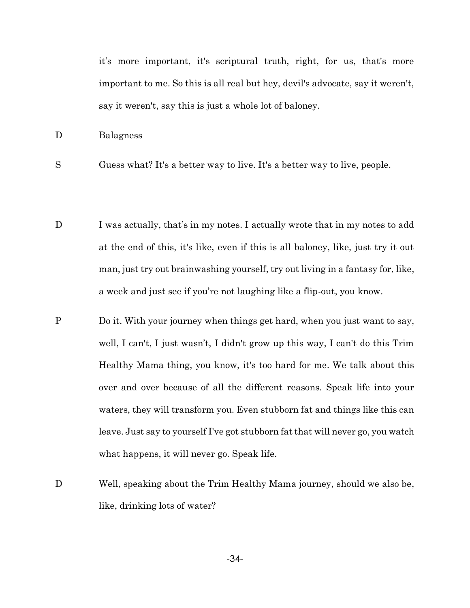it's more important, it's scriptural truth, right, for us, that's more important to me. So this is all real but hey, devil's advocate, say it weren't, say it weren't, say this is just a whole lot of baloney.

D Balagness

- S Guess what? It's a better way to live. It's a better way to live, people.
- D I was actually, that's in my notes. I actually wrote that in my notes to add at the end of this, it's like, even if this is all baloney, like, just try it out man, just try out brainwashing yourself, try out living in a fantasy for, like, a week and just see if you're not laughing like a flip-out, you know.
- P Do it. With your journey when things get hard, when you just want to say, well, I can't, I just wasn't, I didn't grow up this way, I can't do this Trim Healthy Mama thing, you know, it's too hard for me. We talk about this over and over because of all the different reasons. Speak life into your waters, they will transform you. Even stubborn fat and things like this can leave. Just say to yourself I've got stubborn fat that will never go, you watch what happens, it will never go. Speak life.
- D Well, speaking about the Trim Healthy Mama journey, should we also be, like, drinking lots of water?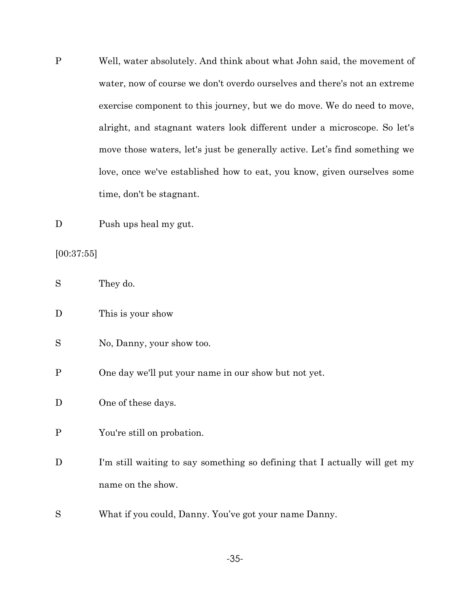- P Well, water absolutely. And think about what John said, the movement of water, now of course we don't overdo ourselves and there's not an extreme exercise component to this journey, but we do move. We do need to move, alright, and stagnant waters look different under a microscope. So let's move those waters, let's just be generally active. Let's find something we love, once we've established how to eat, you know, given ourselves some time, don't be stagnant.
- D Push ups heal my gut.

[00:37:55]

- S They do.
- D This is your show
- S No, Danny, your show too.
- P One day we'll put your name in our show but not yet.
- D One of these days.
- P You're still on probation.
- D I'm still waiting to say something so defining that I actually will get my name on the show.
- S What if you could, Danny. You've got your name Danny.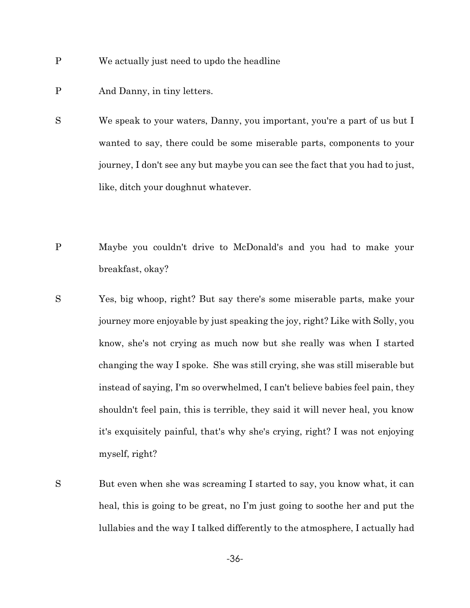- P We actually just need to updo the headline
- P And Danny, in tiny letters.
- S We speak to your waters, Danny, you important, you're a part of us but I wanted to say, there could be some miserable parts, components to your journey, I don't see any but maybe you can see the fact that you had to just, like, ditch your doughnut whatever.
- P Maybe you couldn't drive to McDonald's and you had to make your breakfast, okay?
- S Yes, big whoop, right? But say there's some miserable parts, make your journey more enjoyable by just speaking the joy, right? Like with Solly, you know, she's not crying as much now but she really was when I started changing the way I spoke. She was still crying, she was still miserable but instead of saying, I'm so overwhelmed, I can't believe babies feel pain, they shouldn't feel pain, this is terrible, they said it will never heal, you know it's exquisitely painful, that's why she's crying, right? I was not enjoying myself, right?
- S But even when she was screaming I started to say, you know what, it can heal, this is going to be great, no I'm just going to soothe her and put the lullabies and the way I talked differently to the atmosphere, I actually had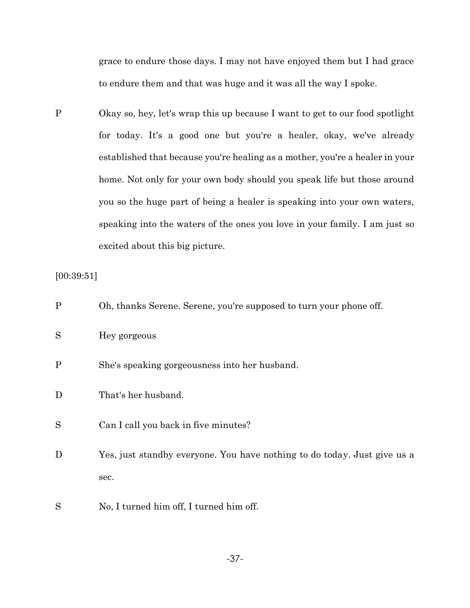grace to endure those days. I may not have enjoyed them but I had grace to endure them and that was huge and it was all the way I spoke.

P Okay so, hey, let's wrap this up because I want to get to our food spotlight for today. It's a good one but you're a healer, okay, we've already established that because you're healing as a mother, you're a healer in your home. Not only for your own body should you speak life but those around you so the huge part of being a healer is speaking into your own waters, speaking into the waters of the ones you love in your family. I am just so excited about this big picture.

## [00:39:51]

| P            | Oh, thanks Serene. Serene, you're supposed to turn your phone off.       |
|--------------|--------------------------------------------------------------------------|
| S            | Hey gorgeous                                                             |
| $\mathbf{P}$ | She's speaking gorgeousness into her husband.                            |
| D            | That's her husband.                                                      |
| S            | Can I call you back in five minutes?                                     |
| D            | Yes, just standby everyone. You have nothing to do today. Just give us a |
|              | sec.                                                                     |
| S            | No, I turned him off, I turned him off.                                  |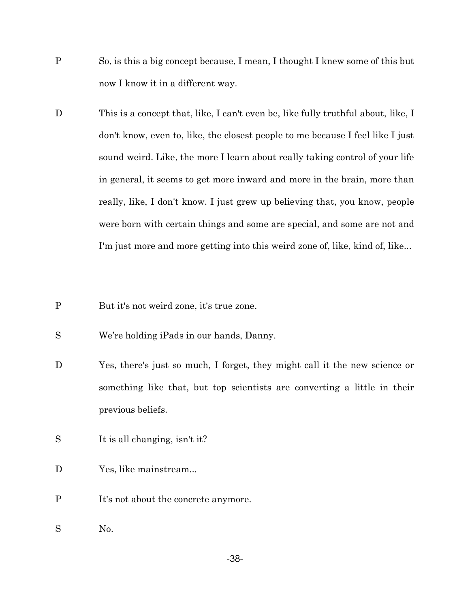- P So, is this a big concept because, I mean, I thought I knew some of this but now I know it in a different way.
- D This is a concept that, like, I can't even be, like fully truthful about, like, I don't know, even to, like, the closest people to me because I feel like I just sound weird. Like, the more I learn about really taking control of your life in general, it seems to get more inward and more in the brain, more than really, like, I don't know. I just grew up believing that, you know, people were born with certain things and some are special, and some are not and I'm just more and more getting into this weird zone of, like, kind of, like...
- P But it's not weird zone, it's true zone.
- S We're holding iPads in our hands, Danny.
- D Yes, there's just so much, I forget, they might call it the new science or something like that, but top scientists are converting a little in their previous beliefs.
- S It is all changing, isn't it?
- D Yes, like mainstream...
- P It's not about the concrete anymore.
- S No.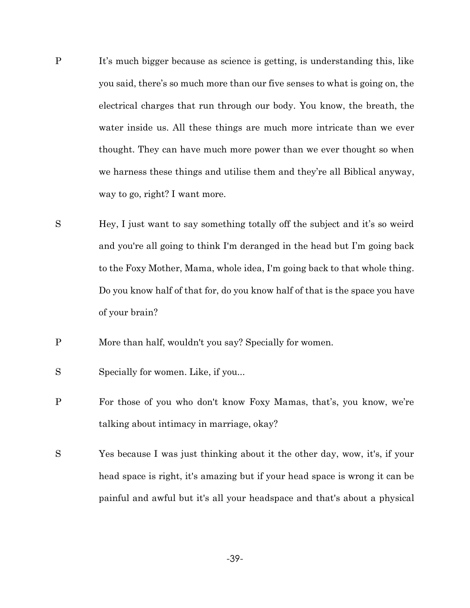- P It's much bigger because as science is getting, is understanding this, like you said, there's so much more than our five senses to what is going on, the electrical charges that run through our body. You know, the breath, the water inside us. All these things are much more intricate than we ever thought. They can have much more power than we ever thought so when we harness these things and utilise them and they're all Biblical anyway, way to go, right? I want more.
- S Hey, I just want to say something totally off the subject and it's so weird and you're all going to think I'm deranged in the head but I'm going back to the Foxy Mother, Mama, whole idea, I'm going back to that whole thing. Do you know half of that for, do you know half of that is the space you have of your brain?
- P More than half, wouldn't you say? Specially for women.
- S Specially for women. Like, if you...
- P For those of you who don't know Foxy Mamas, that's, you know, we're talking about intimacy in marriage, okay?
- S Yes because I was just thinking about it the other day, wow, it's, if your head space is right, it's amazing but if your head space is wrong it can be painful and awful but it's all your headspace and that's about a physical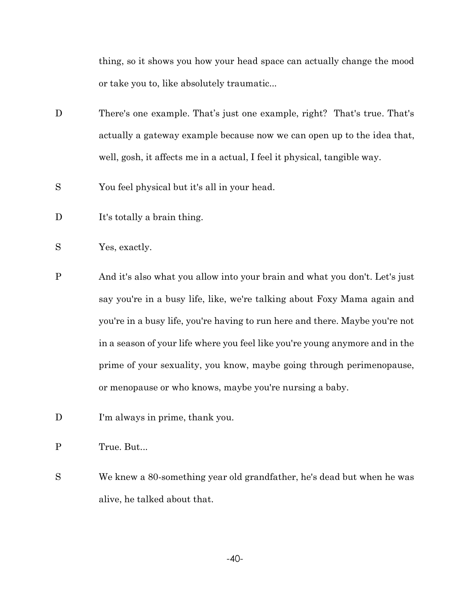thing, so it shows you how your head space can actually change the mood or take you to, like absolutely traumatic...

- D There's one example. That's just one example, right? That's true. That's actually a gateway example because now we can open up to the idea that, well, gosh, it affects me in a actual, I feel it physical, tangible way.
- S You feel physical but it's all in your head.
- D It's totally a brain thing.
- S Yes, exactly.
- P And it's also what you allow into your brain and what you don't. Let's just say you're in a busy life, like, we're talking about Foxy Mama again and you're in a busy life, you're having to run here and there. Maybe you're not in a season of your life where you feel like you're young anymore and in the prime of your sexuality, you know, maybe going through perimenopause, or menopause or who knows, maybe you're nursing a baby.
- D I'm always in prime, thank you.

P True. But...

S We knew a 80-something year old grandfather, he's dead but when he was alive, he talked about that.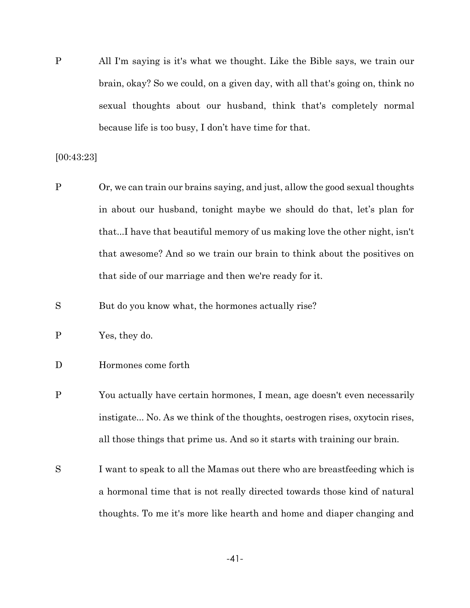P All I'm saying is it's what we thought. Like the Bible says, we train our brain, okay? So we could, on a given day, with all that's going on, think no sexual thoughts about our husband, think that's completely normal because life is too busy, I don't have time for that.

#### [00:43:23]

- P Or, we can train our brains saying, and just, allow the good sexual thoughts in about our husband, tonight maybe we should do that, let's plan for that...I have that beautiful memory of us making love the other night, isn't that awesome? And so we train our brain to think about the positives on that side of our marriage and then we're ready for it.
- S But do you know what, the hormones actually rise?
- P Yes, they do.
- D Hormones come forth
- P You actually have certain hormones, I mean, age doesn't even necessarily instigate... No. As we think of the thoughts, oestrogen rises, oxytocin rises, all those things that prime us. And so it starts with training our brain.
- S I want to speak to all the Mamas out there who are breastfeeding which is a hormonal time that is not really directed towards those kind of natural thoughts. To me it's more like hearth and home and diaper changing and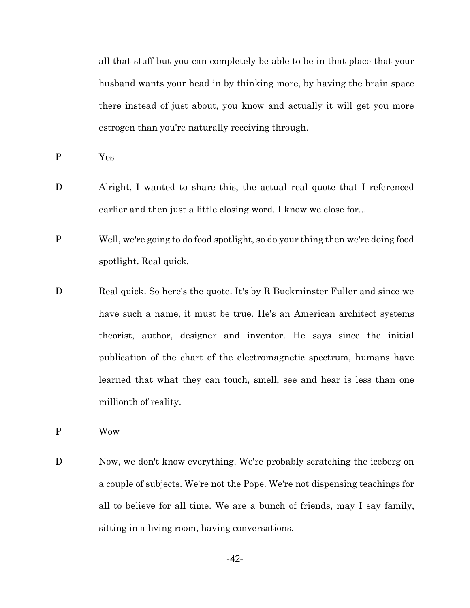all that stuff but you can completely be able to be in that place that your husband wants your head in by thinking more, by having the brain space there instead of just about, you know and actually it will get you more estrogen than you're naturally receiving through.

P Yes

- D Alright, I wanted to share this, the actual real quote that I referenced earlier and then just a little closing word. I know we close for...
- P Well, we're going to do food spotlight, so do your thing then we're doing food spotlight. Real quick.
- D Real quick. So here's the quote. It's by R Buckminster Fuller and since we have such a name, it must be true. He's an American architect systems theorist, author, designer and inventor. He says since the initial publication of the chart of the electromagnetic spectrum, humans have learned that what they can touch, smell, see and hear is less than one millionth of reality.

P Wow

D Now, we don't know everything. We're probably scratching the iceberg on a couple of subjects. We're not the Pope. We're not dispensing teachings for all to believe for all time. We are a bunch of friends, may I say family, sitting in a living room, having conversations.

-42-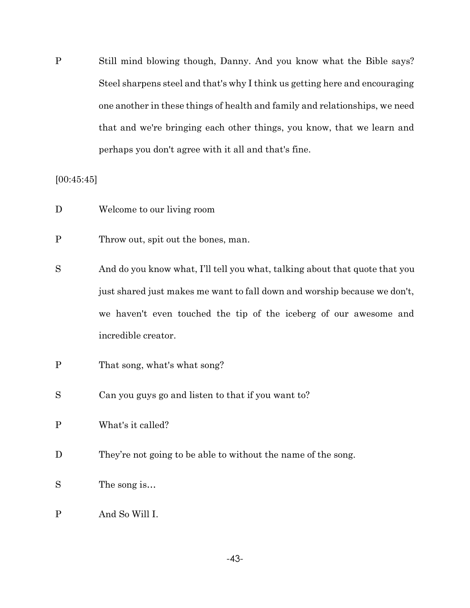P Still mind blowing though, Danny. And you know what the Bible says? Steel sharpens steel and that's why I think us getting here and encouraging one another in these things of health and family and relationships, we need that and we're bringing each other things, you know, that we learn and perhaps you don't agree with it all and that's fine.

[00:45:45]

- D Welcome to our living room
- P Throw out, spit out the bones, man.
- S And do you know what, I'll tell you what, talking about that quote that you just shared just makes me want to fall down and worship because we don't, we haven't even touched the tip of the iceberg of our awesome and incredible creator.
- P That song, what's what song?
- S Can you guys go and listen to that if you want to?
- P What's it called?
- D They're not going to be able to without the name of the song.

S The song is...

P And So Will I.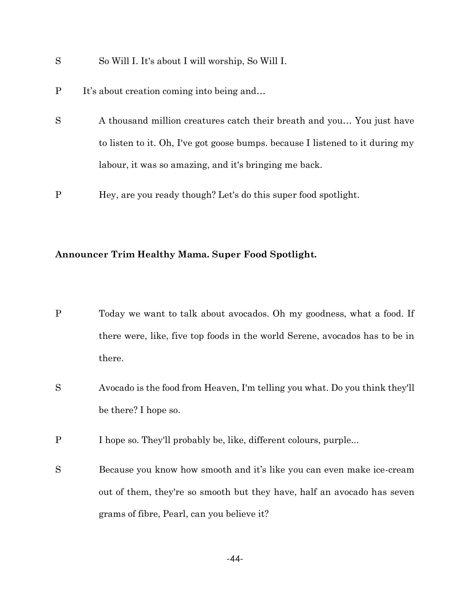- S So Will I. It's about I will worship, So Will I.
- P It's about creation coming into being and...
- S A thousand million creatures catch their breath and you... You just have to listen to it. Oh, I've got goose bumps. because I listened to it during my labour, it was so amazing, and it's bringing me back.
- P Hey, are you ready though? Let's do this super food spotlight.

#### **Announcer Trim Healthy Mama. Super Food Spotlight.**

- P Today we want to talk about avocados. Oh my goodness, what a food. If there were, like, five top foods in the world Serene, avocados has to be in there.
- S Avocado is the food from Heaven, I'm telling you what. Do you think they'll be there? I hope so.
- P I hope so. They'll probably be, like, different colours, purple...
- S Because you know how smooth and it's like you can even make ice-cream out of them, they're so smooth but they have, half an avocado has seven grams of fibre, Pearl, can you believe it?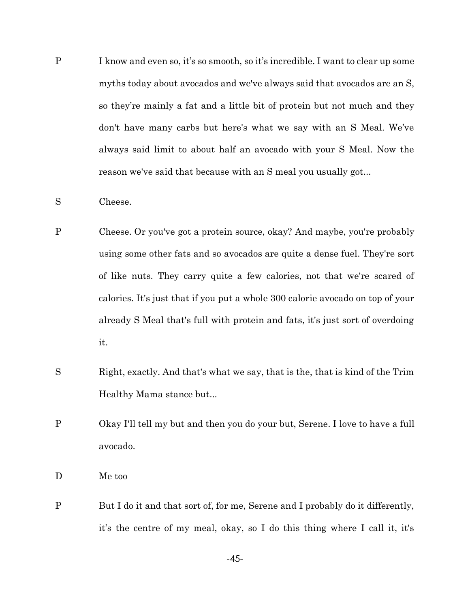- P I know and even so, it's so smooth, so it's incredible. I want to clear up some myths today about avocados and we've always said that avocados are an S, so they're mainly a fat and a little bit of protein but not much and they don't have many carbs but here's what we say with an S Meal. We've always said limit to about half an avocado with your S Meal. Now the reason we've said that because with an S meal you usually got...
- S Cheese.
- P Cheese. Or you've got a protein source, okay? And maybe, you're probably using some other fats and so avocados are quite a dense fuel. They're sort of like nuts. They carry quite a few calories, not that we're scared of calories. It's just that if you put a whole 300 calorie avocado on top of your already S Meal that's full with protein and fats, it's just sort of overdoing it.
- S Right, exactly. And that's what we say, that is the, that is kind of the Trim Healthy Mama stance but...
- P Okay I'll tell my but and then you do your but, Serene. I love to have a full avocado.
- D Me too
- P But I do it and that sort of, for me, Serene and I probably do it differently, it's the centre of my meal, okay, so I do this thing where I call it, it's

-45-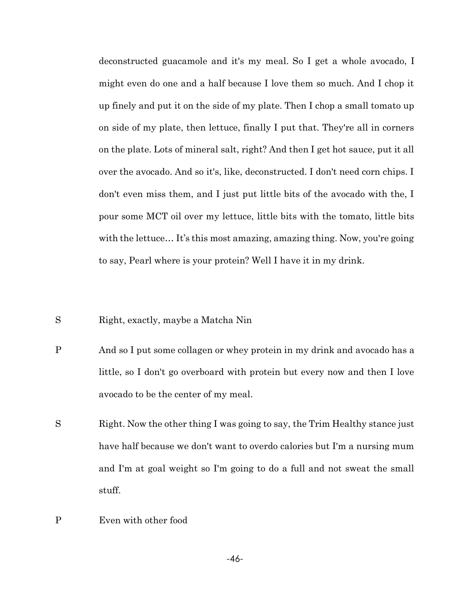deconstructed guacamole and it's my meal. So I get a whole avocado, I might even do one and a half because I love them so much. And I chop it up finely and put it on the side of my plate. Then I chop a small tomato up on side of my plate, then lettuce, finally I put that. They're all in corners on the plate. Lots of mineral salt, right? And then I get hot sauce, put it all over the avocado. And so it's, like, deconstructed. I don't need corn chips. I don't even miss them, and I just put little bits of the avocado with the, I pour some MCT oil over my lettuce, little bits with the tomato, little bits with the lettuce... It's this most amazing, amazing thing. Now, you're going to say, Pearl where is your protein? Well I have it in my drink.

#### S Right, exactly, maybe a Matcha Nin

- P And so I put some collagen or whey protein in my drink and avocado has a little, so I don't go overboard with protein but every now and then I love avocado to be the center of my meal.
- S Right. Now the other thing I was going to say, the Trim Healthy stance just have half because we don't want to overdo calories but I'm a nursing mum and I'm at goal weight so I'm going to do a full and not sweat the small stuff.
- P Even with other food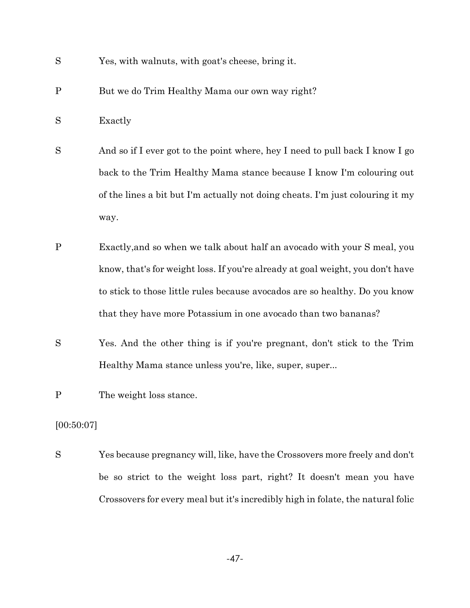- S Yes, with walnuts, with goat's cheese, bring it.
- P But we do Trim Healthy Mama our own way right?
- S Exactly
- S And so if I ever got to the point where, hey I need to pull back I know I go back to the Trim Healthy Mama stance because I know I'm colouring out of the lines a bit but I'm actually not doing cheats. I'm just colouring it my way.
- P Exactly,and so when we talk about half an avocado with your S meal, you know, that's for weight loss. If you're already at goal weight, you don't have to stick to those little rules because avocados are so healthy. Do you know that they have more Potassium in one avocado than two bananas?
- S Yes. And the other thing is if you're pregnant, don't stick to the Trim Healthy Mama stance unless you're, like, super, super...
- P The weight loss stance.

#### [00:50:07]

S Yes because pregnancy will, like, have the Crossovers more freely and don't be so strict to the weight loss part, right? It doesn't mean you have Crossovers for every meal but it's incredibly high in folate, the natural folic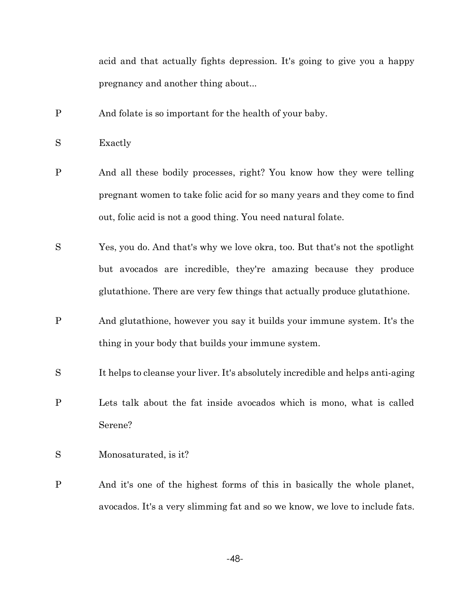acid and that actually fights depression. It's going to give you a happy pregnancy and another thing about...

P And folate is so important for the health of your baby.

S Exactly

- P And all these bodily processes, right? You know how they were telling pregnant women to take folic acid for so many years and they come to find out, folic acid is not a good thing. You need natural folate.
- S Yes, you do. And that's why we love okra, too. But that's not the spotlight but avocados are incredible, they're amazing because they produce glutathione. There are very few things that actually produce glutathione.
- P And glutathione, however you say it builds your immune system. It's the thing in your body that builds your immune system.
- S It helps to cleanse your liver. It's absolutely incredible and helps anti-aging
- P Lets talk about the fat inside avocados which is mono, what is called Serene?
- S Monosaturated, is it?
- P And it's one of the highest forms of this in basically the whole planet, avocados. It's a very slimming fat and so we know, we love to include fats.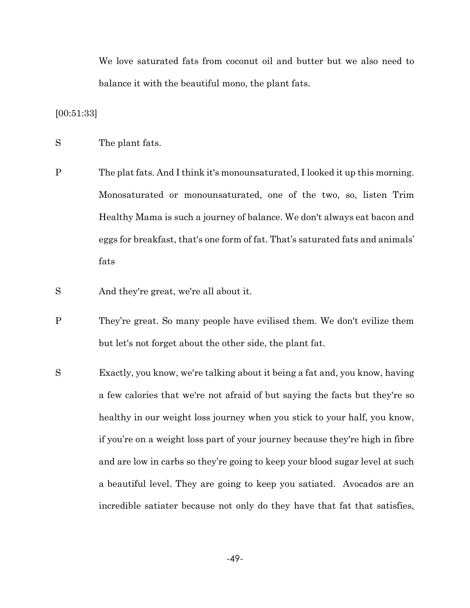We love saturated fats from coconut oil and butter but we also need to balance it with the beautiful mono, the plant fats.

[00:51:33]

S The plant fats.

- P The plat fats. And I think it's monounsaturated, I looked it up this morning. Monosaturated or monounsaturated, one of the two, so, listen Trim Healthy Mama is such a journey of balance. We don't always eat bacon and eggs for breakfast, that's one form of fat. That's saturated fats and animals' fats
- S And they're great, we're all about it.
- P They're great. So many people have evilised them. We don't evilize them but let's not forget about the other side, the plant fat.
- S Exactly, you know, we're talking about it being a fat and, you know, having a few calories that we're not afraid of but saying the facts but they're so healthy in our weight loss journey when you stick to your half, you know, if you're on a weight loss part of your journey because they're high in fibre and are low in carbs so they're going to keep your blood sugar level at such a beautiful level. They are going to keep you satiated. Avocados are an incredible satiater because not only do they have that fat that satisfies,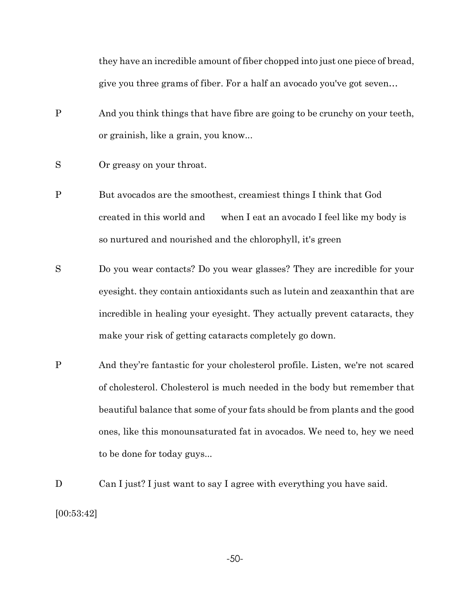they have an incredible amount of fiber chopped into just one piece of bread, give you three grams of fiber. For a half an avocado you've got seven…

- P And you think things that have fibre are going to be crunchy on your teeth, or grainish, like a grain, you know...
- S Or greasy on your throat.
- P But avocados are the smoothest, creamiest things I think that God created in this world and when I eat an avocado I feel like my body is so nurtured and nourished and the chlorophyll, it's green
- S Do you wear contacts? Do you wear glasses? They are incredible for your eyesight. they contain antioxidants such as lutein and zeaxanthin that are incredible in healing your eyesight. They actually prevent cataracts, they make your risk of getting cataracts completely go down.
- P And they're fantastic for your cholesterol profile. Listen, we're not scared of cholesterol. Cholesterol is much needed in the body but remember that beautiful balance that some of your fats should be from plants and the good ones, like this monounsaturated fat in avocados. We need to, hey we need to be done for today guys...
- D Can I just? I just want to say I agree with everything you have said. [00:53:42]